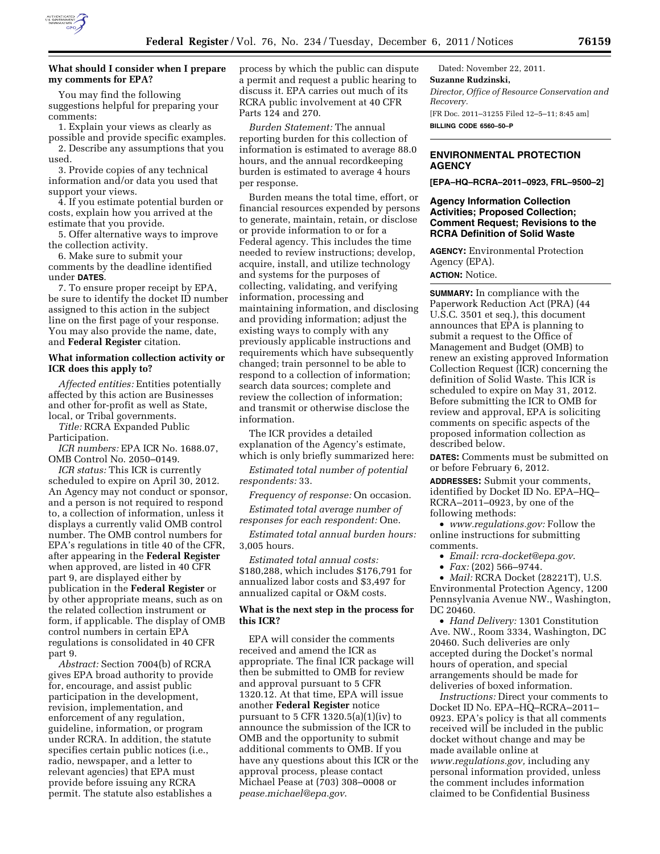

## **What should I consider when I prepare my comments for EPA?**

You may find the following suggestions helpful for preparing your comments:

1. Explain your views as clearly as possible and provide specific examples. 2. Describe any assumptions that you

used. 3. Provide copies of any technical

information and/or data you used that support your views.

4. If you estimate potential burden or costs, explain how you arrived at the estimate that you provide.

5. Offer alternative ways to improve the collection activity.

6. Make sure to submit your comments by the deadline identified under **DATES**.

7. To ensure proper receipt by EPA, be sure to identify the docket ID number assigned to this action in the subject line on the first page of your response. You may also provide the name, date, and **Federal Register** citation.

#### **What information collection activity or ICR does this apply to?**

*Affected entities:* Entities potentially affected by this action are Businesses and other for-profit as well as State, local, or Tribal governments.

*Title:* RCRA Expanded Public Participation.

*ICR numbers:* EPA ICR No. 1688.07, OMB Control No. 2050–0149.

*ICR status:* This ICR is currently scheduled to expire on April 30, 2012. An Agency may not conduct or sponsor, and a person is not required to respond to, a collection of information, unless it displays a currently valid OMB control number. The OMB control numbers for EPA's regulations in title 40 of the CFR, after appearing in the **Federal Register**  when approved, are listed in 40 CFR part 9, are displayed either by publication in the **Federal Register** or by other appropriate means, such as on the related collection instrument or form, if applicable. The display of OMB control numbers in certain EPA regulations is consolidated in 40 CFR part 9.

*Abstract:* Section 7004(b) of RCRA gives EPA broad authority to provide for, encourage, and assist public participation in the development, revision, implementation, and enforcement of any regulation, guideline, information, or program under RCRA. In addition, the statute specifies certain public notices (i.e., radio, newspaper, and a letter to relevant agencies) that EPA must provide before issuing any RCRA permit. The statute also establishes a

process by which the public can dispute a permit and request a public hearing to discuss it. EPA carries out much of its RCRA public involvement at 40 CFR Parts 124 and 270.

*Burden Statement:* The annual reporting burden for this collection of information is estimated to average 88.0 hours, and the annual recordkeeping burden is estimated to average 4 hours per response.

Burden means the total time, effort, or financial resources expended by persons to generate, maintain, retain, or disclose or provide information to or for a Federal agency. This includes the time needed to review instructions; develop, acquire, install, and utilize technology and systems for the purposes of collecting, validating, and verifying information, processing and maintaining information, and disclosing and providing information; adjust the existing ways to comply with any previously applicable instructions and requirements which have subsequently changed; train personnel to be able to respond to a collection of information; search data sources; complete and review the collection of information; and transmit or otherwise disclose the information.

The ICR provides a detailed explanation of the Agency's estimate, which is only briefly summarized here:

*Estimated total number of potential respondents:* 33.

*Frequency of response:* On occasion.

*Estimated total average number of responses for each respondent:* One.

*Estimated total annual burden hours:*  3,005 hours.

*Estimated total annual costs:*  \$180,288, which includes \$176,791 for annualized labor costs and \$3,497 for annualized capital or O&M costs.

## **What is the next step in the process for this ICR?**

EPA will consider the comments received and amend the ICR as appropriate. The final ICR package will then be submitted to OMB for review and approval pursuant to 5 CFR 1320.12. At that time, EPA will issue another **Federal Register** notice pursuant to 5 CFR  $1320.5(a)(1)(iv)$  to announce the submission of the ICR to OMB and the opportunity to submit additional comments to OMB. If you have any questions about this ICR or the approval process, please contact Michael Pease at (703) 308–0008 or *[pease.michael@epa.gov](mailto:pease.michael@epa.gov)*.

Dated: November 22, 2011. **Suzanne Rudzinski,**  *Director, Office of Resource Conservation and Recovery.*  [FR Doc. 2011–31255 Filed 12–5–11; 8:45 am] **BILLING CODE 6560–50–P** 

## **ENVIRONMENTAL PROTECTION AGENCY**

**[EPA–HQ–RCRA–2011–0923, FRL–9500–2]** 

#### **Agency Information Collection Activities; Proposed Collection; Comment Request; Revisions to the RCRA Definition of Solid Waste**

**AGENCY:** Environmental Protection Agency (EPA). **ACTION:** Notice.

**SUMMARY:** In compliance with the Paperwork Reduction Act (PRA) (44 U.S.C. 3501 et seq.), this document announces that EPA is planning to submit a request to the Office of Management and Budget (OMB) to renew an existing approved Information Collection Request (ICR) concerning the definition of Solid Waste. This ICR is scheduled to expire on May 31, 2012. Before submitting the ICR to OMB for review and approval, EPA is soliciting comments on specific aspects of the proposed information collection as described below.

**DATES:** Comments must be submitted on or before February 6, 2012.

**ADDRESSES:** Submit your comments, identified by Docket ID No. EPA–HQ– RCRA–2011–0923, by one of the following methods:

• *[www.regulations.gov:](http://www.regulations.gov)* Follow the online instructions for submitting comments.

• *Email: [rcra-docket@epa.gov](mailto:rcra-docket@epa.gov)*.

• *Fax:* (202) 566–9744.

• *Mail:* RCRA Docket (28221T), U.S. Environmental Protection Agency, 1200 Pennsylvania Avenue NW., Washington, DC 20460.

• *Hand Delivery:* 1301 Constitution Ave. NW., Room 3334, Washington, DC 20460. Such deliveries are only accepted during the Docket's normal hours of operation, and special arrangements should be made for deliveries of boxed information.

*Instructions:* Direct your comments to Docket ID No. EPA–HQ–RCRA–2011– 0923. EPA's policy is that all comments received will be included in the public docket without change and may be made available online at *[www.regulations.gov,](http://www.regulations.gov)* including any personal information provided, unless the comment includes information claimed to be Confidential Business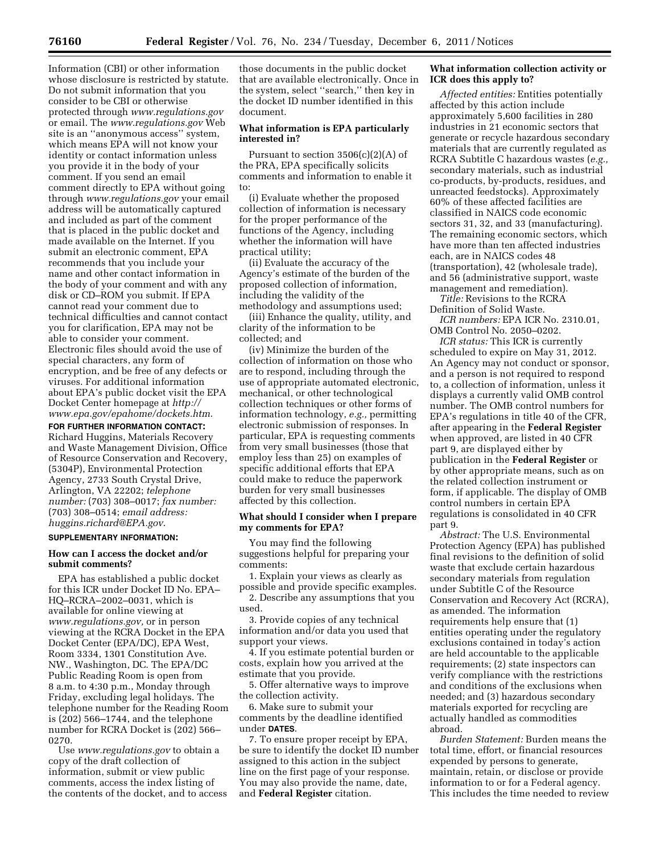Information (CBI) or other information whose disclosure is restricted by statute. Do not submit information that you consider to be CBI or otherwise protected through *[www.regulations.gov](http://www.regulations.gov)*  or email. The *[www.regulations.gov](http://www.regulations.gov)* Web site is an ''anonymous access'' system, which means EPA will not know your identity or contact information unless you provide it in the body of your comment. If you send an email comment directly to EPA without going through *[www.regulations.gov](http://www.regulations.gov)* your email address will be automatically captured and included as part of the comment that is placed in the public docket and made available on the Internet. If you submit an electronic comment, EPA recommends that you include your name and other contact information in the body of your comment and with any disk or CD–ROM you submit. If EPA cannot read your comment due to technical difficulties and cannot contact you for clarification, EPA may not be able to consider your comment. Electronic files should avoid the use of special characters, any form of encryption, and be free of any defects or viruses. For additional information about EPA's public docket visit the EPA Docket Center homepage at *[http://](http://www.epa.gov/epahome/dockets.htm) [www.epa.gov/epahome/dockets.htm](http://www.epa.gov/epahome/dockets.htm)*.

**FOR FURTHER INFORMATION CONTACT:**  Richard Huggins, Materials Recovery and Waste Management Division, Office of Resource Conservation and Recovery, (5304P), Environmental Protection Agency, 2733 South Crystal Drive, Arlington, VA 22202; *telephone number:* (703) 308–0017; *fax number:*  (703) 308–0514; *email address: [huggins.richard@EPA.gov](mailto:huggins.richard@EPA.gov)*.

#### **SUPPLEMENTARY INFORMATION:**

#### **How can I access the docket and/or submit comments?**

EPA has established a public docket for this ICR under Docket ID No. EPA– HQ–RCRA–2002–0031, which is available for online viewing at *[www.regulations.gov,](http://www.regulations.gov)* or in person viewing at the RCRA Docket in the EPA Docket Center (EPA/DC), EPA West, Room 3334, 1301 Constitution Ave. NW., Washington, DC. The EPA/DC Public Reading Room is open from 8 a.m. to 4:30 p.m., Monday through Friday, excluding legal holidays. The telephone number for the Reading Room is (202) 566–1744, and the telephone number for RCRA Docket is (202) 566– 0270.

Use *[www.regulations.gov](http://www.regulations.gov)* to obtain a copy of the draft collection of information, submit or view public comments, access the index listing of the contents of the docket, and to access those documents in the public docket that are available electronically. Once in the system, select ''search,'' then key in the docket ID number identified in this document.

#### **What information is EPA particularly interested in?**

Pursuant to section  $3506(c)(2)(A)$  of the PRA, EPA specifically solicits comments and information to enable it to:

(i) Evaluate whether the proposed collection of information is necessary for the proper performance of the functions of the Agency, including whether the information will have practical utility;

(ii) Evaluate the accuracy of the Agency's estimate of the burden of the proposed collection of information, including the validity of the methodology and assumptions used;

(iii) Enhance the quality, utility, and clarity of the information to be collected; and

(iv) Minimize the burden of the collection of information on those who are to respond, including through the use of appropriate automated electronic, mechanical, or other technological collection techniques or other forms of information technology, *e.g.,* permitting electronic submission of responses. In particular, EPA is requesting comments from very small businesses (those that employ less than 25) on examples of specific additional efforts that EPA could make to reduce the paperwork burden for very small businesses affected by this collection.

#### **What should I consider when I prepare my comments for EPA?**

You may find the following suggestions helpful for preparing your comments:

1. Explain your views as clearly as possible and provide specific examples.

2. Describe any assumptions that you used.

3. Provide copies of any technical information and/or data you used that support your views.

4. If you estimate potential burden or costs, explain how you arrived at the estimate that you provide.

5. Offer alternative ways to improve the collection activity.

6. Make sure to submit your comments by the deadline identified under **DATES**.

7. To ensure proper receipt by EPA, be sure to identify the docket ID number assigned to this action in the subject line on the first page of your response. You may also provide the name, date, and **Federal Register** citation.

### **What information collection activity or ICR does this apply to?**

*Affected entities:* Entities potentially affected by this action include approximately 5,600 facilities in 280 industries in 21 economic sectors that generate or recycle hazardous secondary materials that are currently regulated as RCRA Subtitle C hazardous wastes (*e.g.,*  secondary materials, such as industrial co-products, by-products, residues, and unreacted feedstocks). Approximately 60% of these affected facilities are classified in NAICS code economic sectors 31, 32, and 33 (manufacturing). The remaining economic sectors, which have more than ten affected industries each, are in NAICS codes 48 (transportation), 42 (wholesale trade), and 56 (administrative support, waste management and remediation).

*Title:* Revisions to the RCRA Definition of Solid Waste.

*ICR numbers:* EPA ICR No. 2310.01, OMB Control No. 2050–0202.

*ICR status:* This ICR is currently scheduled to expire on May 31, 2012. An Agency may not conduct or sponsor, and a person is not required to respond to, a collection of information, unless it displays a currently valid OMB control number. The OMB control numbers for EPA's regulations in title 40 of the CFR, after appearing in the **Federal Register**  when approved, are listed in 40 CFR part 9, are displayed either by publication in the **Federal Register** or by other appropriate means, such as on the related collection instrument or form, if applicable. The display of OMB control numbers in certain EPA regulations is consolidated in 40 CFR part 9.

*Abstract:* The U.S. Environmental Protection Agency (EPA) has published final revisions to the definition of solid waste that exclude certain hazardous secondary materials from regulation under Subtitle C of the Resource Conservation and Recovery Act (RCRA), as amended. The information requirements help ensure that (1) entities operating under the regulatory exclusions contained in today's action are held accountable to the applicable requirements; (2) state inspectors can verify compliance with the restrictions and conditions of the exclusions when needed; and (3) hazardous secondary materials exported for recycling are actually handled as commodities abroad.

*Burden Statement:* Burden means the total time, effort, or financial resources expended by persons to generate, maintain, retain, or disclose or provide information to or for a Federal agency. This includes the time needed to review